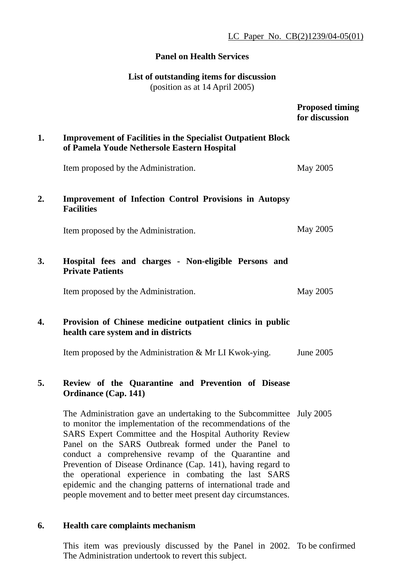LC Paper No. CB(2)1239/04-05(01)

#### **Panel on Health Services**

## **List of outstanding items for discussion**

(position as at 14 April 2005)

|    |                                                                                                                                                                                                                                                                                                                                                                                                                                                                                                                                                                           | <b>Proposed timing</b><br>for discussion |
|----|---------------------------------------------------------------------------------------------------------------------------------------------------------------------------------------------------------------------------------------------------------------------------------------------------------------------------------------------------------------------------------------------------------------------------------------------------------------------------------------------------------------------------------------------------------------------------|------------------------------------------|
| 1. | <b>Improvement of Facilities in the Specialist Outpatient Block</b><br>of Pamela Youde Nethersole Eastern Hospital                                                                                                                                                                                                                                                                                                                                                                                                                                                        |                                          |
|    | Item proposed by the Administration.                                                                                                                                                                                                                                                                                                                                                                                                                                                                                                                                      | May 2005                                 |
| 2. | <b>Improvement of Infection Control Provisions in Autopsy</b><br><b>Facilities</b>                                                                                                                                                                                                                                                                                                                                                                                                                                                                                        |                                          |
|    | Item proposed by the Administration.                                                                                                                                                                                                                                                                                                                                                                                                                                                                                                                                      | May 2005                                 |
| 3. | Hospital fees and charges - Non-eligible Persons and<br><b>Private Patients</b>                                                                                                                                                                                                                                                                                                                                                                                                                                                                                           |                                          |
|    | Item proposed by the Administration.                                                                                                                                                                                                                                                                                                                                                                                                                                                                                                                                      | May 2005                                 |
| 4. | Provision of Chinese medicine outpatient clinics in public<br>health care system and in districts                                                                                                                                                                                                                                                                                                                                                                                                                                                                         |                                          |
|    | Item proposed by the Administration & Mr LI Kwok-ying.                                                                                                                                                                                                                                                                                                                                                                                                                                                                                                                    | June 2005                                |
| 5. | Review of the Quarantine and Prevention of Disease<br><b>Ordinance (Cap. 141)</b>                                                                                                                                                                                                                                                                                                                                                                                                                                                                                         |                                          |
|    | The Administration gave an undertaking to the Subcommittee July 2005<br>to monitor the implementation of the recommendations of the<br>SARS Expert Committee and the Hospital Authority Review<br>Panel on the SARS Outbreak formed under the Panel to<br>conduct a comprehensive revamp of the Quarantine and<br>Prevention of Disease Ordinance (Cap. 141), having regard to<br>the operational experience in combating the last SARS<br>epidemic and the changing patterns of international trade and<br>people movement and to better meet present day circumstances. |                                          |
|    |                                                                                                                                                                                                                                                                                                                                                                                                                                                                                                                                                                           |                                          |

# **6. Health care complaints mechanism**

This item was previously discussed by the Panel in 2002. To be confirmed The Administration undertook to revert this subject.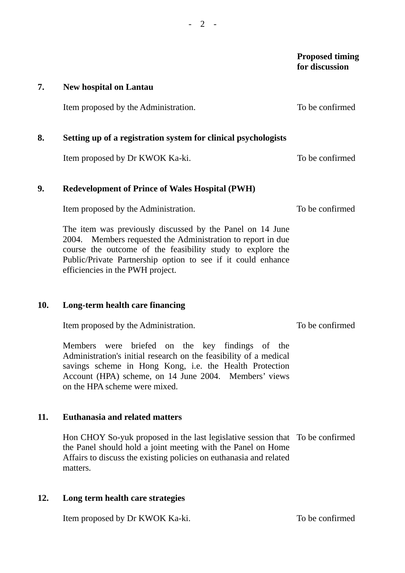**Proposed timing for discussion** 

#### **7. New hospital on Lantau**

Item proposed by the Administration. To be confirmed

# **8. Setting up of a registration system for clinical psychologists**

Item proposed by Dr KWOK Ka-ki.

## **9. Redevelopment of Prince of Wales Hospital (PWH)**

Item proposed by the Administration.

The item was previously discussed by the Panel on 14 June 2004. Members requested the Administration to report in due course the outcome of the feasibility study to explore the Public/Private Partnership option to see if it could enhance efficiencies in the PWH project.

## **10. Long-term health care financing**

Item proposed by the Administration.

Members were briefed on the key findings of the Administration's initial research on the feasibility of a medical savings scheme in Hong Kong, i.e. the Health Protection Account (HPA) scheme, on 14 June 2004. Members' views on the HPA scheme were mixed.

## **11. Euthanasia and related matters**

Hon CHOY So-yuk proposed in the last legislative session that To be confirmed the Panel should hold a joint meeting with the Panel on Home Affairs to discuss the existing policies on euthanasia and related matters.

## **12. Long term health care strategies**

Item proposed by Dr KWOK Ka-ki. To be confirmed

To be confirmed

To be confirmed

To be confirmed